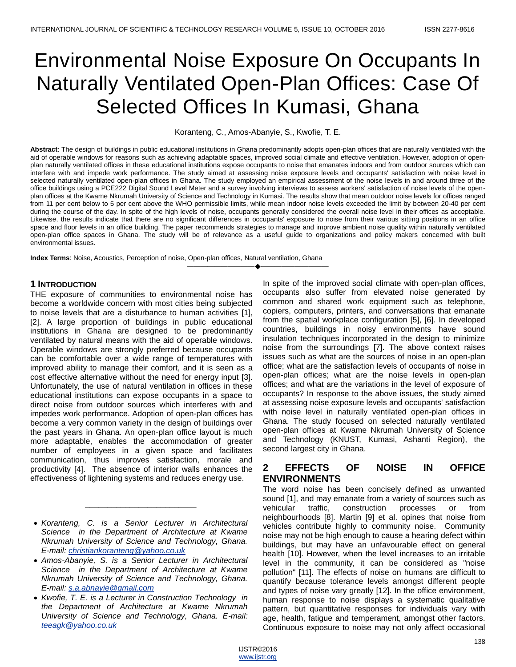# Environmental Noise Exposure On Occupants In Naturally Ventilated Open-Plan Offices: Case Of Selected Offices In Kumasi, Ghana

Koranteng, C., Amos-Abanyie, S., Kwofie, T. E.

**Abstract**: The design of buildings in public educational institutions in Ghana predominantly adopts open-plan offices that are naturally ventilated with the aid of operable windows for reasons such as achieving adaptable spaces, improved social climate and effective ventilation. However, adoption of openplan naturally ventilated offices in these educational institutions expose occupants to noise that emanates indoors and from outdoor sources which can interfere with and impede work performance. The study aimed at assessing noise exposure levels and occupants' satisfaction with noise level in selected naturally ventilated open-plan offices in Ghana. The study employed an empirical assessment of the noise levels in and around three of the office buildings using a PCE222 Digital Sound Level Meter and a survey involving interviews to assess workers' satisfaction of noise levels of the openplan offices at the Kwame Nkrumah University of Science and Technology in Kumasi. The results show that mean outdoor noise levels for offices ranged from 11 per cent below to 5 per cent above the WHO permissible limits, while mean indoor noise levels exceeded the limit by between 20-40 per cent during the course of the day. In spite of the high levels of noise, occupants generally considered the overall noise level in their offices as acceptable. Likewise, the results indicate that there are no significant differences in occupants' exposure to noise from their various sitting positions in an office space and floor levels in an office building. The paper recommends strategies to manage and improve ambient noise quality within naturally ventilated open-plan office spaces in Ghana. The study will be of relevance as a useful guide to organizations and policy makers concerned with built environmental issues.

————————————————————

**Index Terms**: Noise, Acoustics, Perception of noise, Open-plan offices, Natural ventilation, Ghana

## **1 INTRODUCTION**

THE exposure of communities to environmental noise has become a worldwide concern with most cities being subjected to noise levels that are a disturbance to human activities [1], [2]. A large proportion of buildings in public educational institutions in Ghana are designed to be predominantly ventilated by natural means with the aid of operable windows. Operable windows are strongly preferred because occupants can be comfortable over a wide range of temperatures with improved ability to manage their comfort, and it is seen as a cost effective alternative without the need for energy input [3]. Unfortunately, the use of natural ventilation in offices in these educational institutions can expose occupants in a space to direct noise from outdoor sources which interferes with and impedes work performance. Adoption of open-plan offices has become a very common variety in the design of buildings over the past years in Ghana. An open-plan office layout is much more adaptable, enables the accommodation of greater number of employees in a given space and facilitates communication, thus improves satisfaction, morale and productivity [4]. The absence of interior walls enhances the effectiveness of lightening systems and reduces energy use.

\_\_\_\_\_\_\_\_\_\_\_\_\_\_\_\_\_\_\_\_\_\_\_\_\_

In spite of the improved social climate with open-plan offices, occupants also suffer from elevated noise generated by common and shared work equipment such as telephone, copiers, computers, printers, and conversations that emanate from the spatial workplace configuration [5], [6]. In developed countries, buildings in noisy environments have sound insulation techniques incorporated in the design to minimize noise from the surroundings [7]. The above context raises issues such as what are the sources of noise in an open-plan office; what are the satisfaction levels of occupants of noise in open-plan offices; what are the noise levels in open-plan offices; and what are the variations in the level of exposure of occupants? In response to the above issues, the study aimed at assessing noise exposure levels and occupants' satisfaction with noise level in naturally ventilated open-plan offices in Ghana. The study focused on selected naturally ventilated open-plan offices at Kwame Nkrumah University of Science and Technology (KNUST, Kumasi, Ashanti Region), the second largest city in Ghana.

# **2 EFFECTS OF NOISE IN OFFICE ENVIRONMENTS**

The word noise has been concisely defined as unwanted sound [1], and may emanate from a variety of sources such as vehicular traffic, construction processes or from neighbourhoods [8]. Martin [9] et al. opines that noise from vehicles contribute highly to community noise. Community noise may not be high enough to cause a hearing defect within buildings, but may have an unfavourable effect on general health [10]. However, when the level increases to an irritable level in the community, it can be considered as "noise pollution" [11]. The effects of noise on humans are difficult to quantify because tolerance levels amongst different people and types of noise vary greatly [12]. In the office environment, human response to noise displays a systematic qualitative pattern, but quantitative responses for individuals vary with age, health, fatigue and temperament, amongst other factors. Continuous exposure to noise may not only affect occasional

*Koranteng, C. is a Senior Lecturer in Architectural Science in the Department of Architecture at Kwame Nkrumah University of Science and Technology, Ghana. E-mail: [christiankoranteng@yahoo.co.uk](mailto:christiankoranteng@yahoo.co.uk)*

*Amos-Abanyie, S. is a Senior Lecturer in Architectural Science in the Department of Architecture at Kwame Nkrumah University of Science and Technology, Ghana. E-mail: [s.a.abnayie@gmail.com](mailto:s.a.abnayie@gmail.com)*

*Kwofie, T. E. is a Lecturer in Construction Technology in the Department of Architecture at Kwame Nkrumah University of Science and Technology, Ghana. E-mail: [teeagk@yahoo.co.uk](mailto:teeagk@yahoo.co.uk)*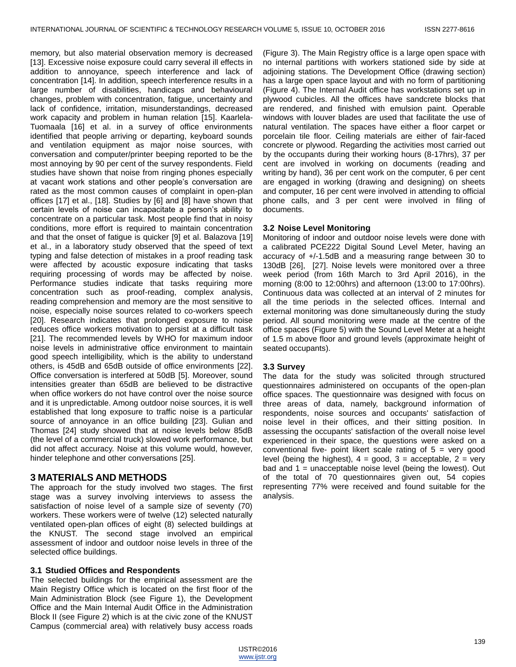memory, but also material observation memory is decreased [13]. Excessive noise exposure could carry several ill effects in addition to annoyance, speech interference and lack of concentration [14]. In addition, speech interference results in a large number of disabilities, handicaps and behavioural changes, problem with concentration, fatigue, uncertainty and lack of confidence, irritation, misunderstandings, decreased work capacity and problem in human relation [15]. Kaarlela-Tuomaala [16] et al. in a survey of office environments identified that people arriving or departing, keyboard sounds and ventilation equipment as major noise sources, with conversation and computer/printer beeping reported to be the most annoying by 90 per cent of the survey respondents. Field studies have shown that noise from ringing phones especially at vacant work stations and other people's conversation are rated as the most common causes of complaint in open-plan offices [17] et al., [18]. Studies by [6] and [8] have shown that certain levels of noise can incapacitate a person's ability to concentrate on a particular task. Most people find that in noisy conditions, more effort is required to maintain concentration and that the onset of fatigue is quicker [9] et al. Balazova [19] et al., in a laboratory study observed that the speed of text typing and false detection of mistakes in a proof reading task were affected by acoustic exposure indicating that tasks requiring processing of words may be affected by noise. Performance studies indicate that tasks requiring more concentration such as proof-reading, complex analysis, reading comprehension and memory are the most sensitive to noise, especially noise sources related to co-workers speech [20]. Research indicates that prolonged exposure to noise reduces office workers motivation to persist at a difficult task [21]. The recommended levels by WHO for maximum indoor noise levels in administrative office environment to maintain good speech intelligibility, which is the ability to understand others, is 45dB and 65dB outside of office environments [22]. Office conversation is interfered at 50dB [5]. Moreover, sound intensities greater than 65dB are believed to be distractive when office workers do not have control over the noise source and it is unpredictable. Among outdoor noise sources, it is well established that long exposure to traffic noise is a particular source of annoyance in an office building [23]. Gulian and Thomas [24] study showed that at noise levels below 85dB (the level of a commercial truck) slowed work performance, but did not affect accuracy. Noise at this volume would, however, hinder telephone and other conversations [25].

# **3 MATERIALS AND METHODS**

The approach for the study involved two stages. The first stage was a survey involving interviews to assess the satisfaction of noise level of a sample size of seventy (70) workers. These workers were of twelve (12) selected naturally ventilated open-plan offices of eight (8) selected buildings at the KNUST. The second stage involved an empirical assessment of indoor and outdoor noise levels in three of the selected office buildings.

## **3.1 Studied Offices and Respondents**

The selected buildings for the empirical assessment are the Main Registry Office which is located on the first floor of the Main Administration Block (see Figure 1), the Development Office and the Main Internal Audit Office in the Administration Block II (see Figure 2) which is at the civic zone of the KNUST Campus (commercial area) with relatively busy access roads

(Figure 3). The Main Registry office is a large open space with no internal partitions with workers stationed side by side at adjoining stations. The Development Office (drawing section) has a large open space layout and with no form of partitioning (Figure 4). The Internal Audit office has workstations set up in plywood cubicles. All the offices have sandcrete blocks that are rendered, and finished with emulsion paint. Operable windows with louver blades are used that facilitate the use of natural ventilation. The spaces have either a floor carpet or porcelain tile floor. Ceiling materials are either of fair-faced concrete or plywood. Regarding the activities most carried out by the occupants during their working hours (8-17hrs), 37 per cent are involved in working on documents (reading and writing by hand), 36 per cent work on the computer, 6 per cent are engaged in working (drawing and designing) on sheets and computer, 16 per cent were involved in attending to official phone calls, and 3 per cent were involved in filing of documents.

#### **3.2 Noise Level Monitoring**

Monitoring of indoor and outdoor noise levels were done with a calibrated PCE222 Digital Sound Level Meter, having an accuracy of +/-1.5dB and a measuring range between 30 to 130dB [26], [27]. Noise levels were monitored over a three week period (from 16th March to 3rd April 2016), in the morning (8:00 to 12:00hrs) and afternoon (13:00 to 17:00hrs). Continuous data was collected at an interval of 2 minutes for all the time periods in the selected offices. Internal and external monitoring was done simultaneously during the study period. All sound monitoring were made at the centre of the office spaces (Figure 5) with the Sound Level Meter at a height of 1.5 m above floor and ground levels (approximate height of seated occupants).

#### **3.3 Survey**

The data for the study was solicited through structured questionnaires administered on occupants of the open-plan office spaces. The questionnaire was designed with focus on three areas of data, namely, background information of respondents, noise sources and occupants' satisfaction of noise level in their offices, and their sitting position. In assessing the occupants' satisfaction of the overall noise level experienced in their space, the questions were asked on a conventional five- point likert scale rating of  $5 = \text{very good}$ level (being the highest),  $4 = \text{good}$ ,  $3 = \text{acceptable}$ ,  $2 = \text{very}$ bad and  $1 =$  unacceptable noise level (being the lowest). Out of the total of 70 questionnaires given out, 54 copies representing 77% were received and found suitable for the analysis.

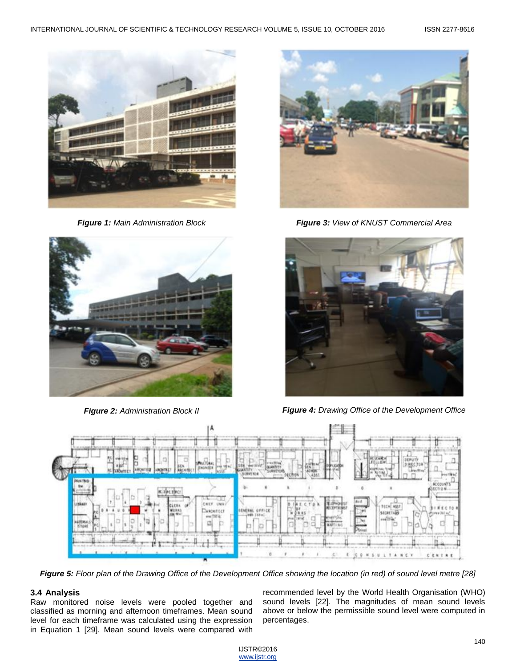

*Figure 1: Main Administration Block*



*Figure 2: Administration Block II*



*Figure 3: View of KNUST Commercial Area*



*Figure 4: Drawing Office of the Development Office*



*Figure 5: Floor plan of the Drawing Office of the Development Office showing the location (in red) of sound level metre [28]*

# **3.4 Analysis**

Raw monitored noise levels were pooled together and classified as morning and afternoon timeframes. Mean sound level for each timeframe was calculated using the expression in Equation 1 [29]. Mean sound levels were compared with recommended level by the World Health Organisation (WHO) sound levels [22]. The magnitudes of mean sound levels above or below the permissible sound level were computed in percentages.

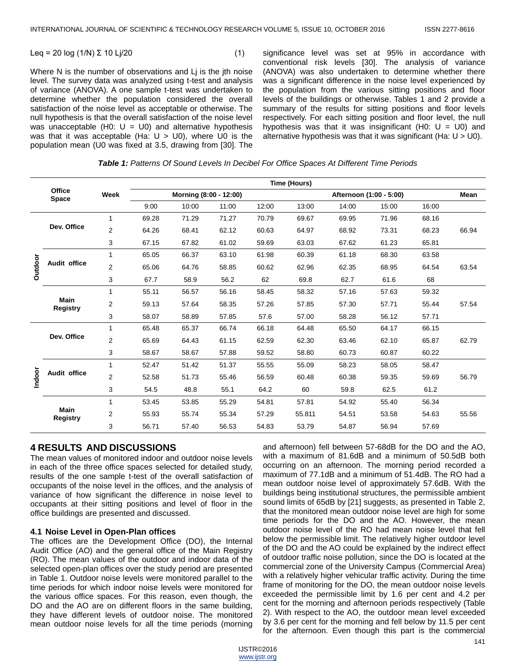$$
Leq = 20 \log (1/N) \Sigma 10 \text{ Lj}/20 \tag{1}
$$

Where N is the number of observations and Li is the jth noise level. The survey data was analyzed using t-test and analysis of variance (ANOVA). A one sample t-test was undertaken to determine whether the population considered the overall satisfaction of the noise level as acceptable or otherwise. The null hypothesis is that the overall satisfaction of the noise level was unacceptable (H0:  $U = U0$ ) and alternative hypothesis was that it was acceptable (Ha:  $U > U_0$ ), where U0 is the population mean (U0 was fixed at 3.5, drawing from [30]. The

significance level was set at 95% in accordance with conventional risk levels [30]. The analysis of variance (ANOVA) was also undertaken to determine whether there was a significant difference in the noise level experienced by the population from the various sitting positions and floor levels of the buildings or otherwise. Tables 1 and 2 provide a summary of the results for sitting positions and floor levels respectively. For each sitting position and floor level, the null hypothesis was that it was insignificant (H0:  $U = U0$ ) and alternative hypothesis was that it was significant (Ha:  $U > U_0$ ).

|         |                                |                | Time (Hours)           |       |       |       |                         |       |       |       |       |
|---------|--------------------------------|----------------|------------------------|-------|-------|-------|-------------------------|-------|-------|-------|-------|
|         | Office<br><b>Space</b>         | Week           | Morning (8:00 - 12:00) |       |       |       | Afternoon (1:00 - 5:00) |       |       |       | Mean  |
|         |                                |                | 9:00                   | 10:00 | 11:00 | 12:00 | 13:00                   | 14:00 | 15:00 | 16:00 |       |
|         | Dev. Office                    | $\mathbf{1}$   | 69.28                  | 71.29 | 71.27 | 70.79 | 69.67                   | 69.95 | 71.96 | 68.16 |       |
|         |                                | $\overline{2}$ | 64.26                  | 68.41 | 62.12 | 60.63 | 64.97                   | 68.92 | 73.31 | 68.23 | 66.94 |
|         |                                | 3              | 67.15                  | 67.82 | 61.02 | 59.69 | 63.03                   | 67.62 | 61.23 | 65.81 |       |
|         |                                | 1              | 65.05                  | 66.37 | 63.10 | 61.98 | 60.39                   | 61.18 | 68.30 | 63.58 |       |
| Outdoor | Audit office                   | $\overline{2}$ | 65.06                  | 64.76 | 58.85 | 60.62 | 62.96                   | 62.35 | 68.95 | 64.54 | 63.54 |
|         |                                | 3              | 67.7                   | 58.9  | 56.2  | 62    | 69.8                    | 62.7  | 61.6  | 68    |       |
|         | <b>Main</b><br><b>Registry</b> | 1              | 55.11                  | 56.57 | 56.16 | 58.45 | 58.32                   | 57.16 | 57.63 | 59.32 |       |
|         |                                | $\overline{2}$ | 59.13                  | 57.64 | 58.35 | 57.26 | 57.85                   | 57.30 | 57.71 | 55.44 | 57.54 |
|         |                                | 3              | 58.07                  | 58.89 | 57.85 | 57.6  | 57.00                   | 58.28 | 56.12 | 57.71 |       |
|         |                                | $\mathbf{1}$   | 65.48                  | 65.37 | 66.74 | 66.18 | 64.48                   | 65.50 | 64.17 | 66.15 |       |
|         | Dev. Office                    | $\overline{2}$ | 65.69                  | 64.43 | 61.15 | 62.59 | 62.30                   | 63.46 | 62.10 | 65.87 | 62.79 |
|         |                                | 3              | 58.67                  | 58.67 | 57.88 | 59.52 | 58.80                   | 60.73 | 60.87 | 60.22 |       |
|         |                                | 1              | 52.47                  | 51.42 | 51.37 | 55.55 | 55.09                   | 58.23 | 58.05 | 58.47 |       |
| Indoor  | Audit office                   | $\overline{2}$ | 52.58                  | 51.73 | 55.46 | 56.59 | 60.48                   | 60.38 | 59.35 | 59.69 | 56.79 |
|         |                                | 3              | 54.5                   | 48.8  | 55.1  | 64.2  | 60                      | 59.8  | 62.5  | 61.2  |       |
|         |                                | 1              | 53.45                  | 53.85 | 55.29 | 54.81 | 57.81                   | 54.92 | 55.40 | 56.34 |       |
|         | <b>Main</b><br><b>Registry</b> | $\overline{2}$ | 55.93                  | 55.74 | 55.34 | 57.29 | 55.811                  | 54.51 | 53.58 | 54.63 | 55.56 |
|         |                                | 3              | 56.71                  | 57.40 | 56.53 | 54.83 | 53.79                   | 54.87 | 56.94 | 57.69 |       |

*Table 1: Patterns Of Sound Levels In Decibel For Office Spaces At Different Time Periods*

## **4 RESULTS AND DISCUSSIONS**

The mean values of monitored indoor and outdoor noise levels in each of the three office spaces selected for detailed study, results of the one sample t-test of the overall satisfaction of occupants of the noise level in the offices, and the analysis of variance of how significant the difference in noise level to occupants at their sitting positions and level of floor in the office buildings are presented and discussed.

#### **4.1 Noise Level in Open-Plan offices**

The offices are the Development Office (DO), the Internal Audit Office (AO) and the general office of the Main Registry (RO). The mean values of the outdoor and indoor data of the selected open-plan offices over the study period are presented in Table 1. Outdoor noise levels were monitored parallel to the time periods for which indoor noise levels were monitored for the various office spaces. For this reason, even though, the DO and the AO are on different floors in the same building, they have different levels of outdoor noise. The monitored mean outdoor noise levels for all the time periods (morning

and afternoon) fell between 57-68dB for the DO and the AO, with a maximum of 81.6dB and a minimum of 50.5dB both occurring on an afternoon. The morning period recorded a maximum of 77.1dB and a minimum of 51.4dB. The RO had a mean outdoor noise level of approximately 57.6dB. With the buildings being institutional structures, the permissible ambient sound limits of 65dB by [21] suggests, as presented in Table 2, that the monitored mean outdoor noise level are high for some time periods for the DO and the AO. However, the mean outdoor noise level of the RO had mean noise level that fell below the permissible limit. The relatively higher outdoor level of the DO and the AO could be explained by the indirect effect of outdoor traffic noise pollution, since the DO is located at the commercial zone of the University Campus (Commercial Area) with a relatively higher vehicular traffic activity. During the time frame of monitoring for the DO, the mean outdoor noise levels exceeded the permissible limit by 1.6 per cent and 4.2 per cent for the morning and afternoon periods respectively (Table 2). With respect to the AO, the outdoor mean level exceeded by 3.6 per cent for the morning and fell below by 11.5 per cent for the afternoon. Even though this part is the commercial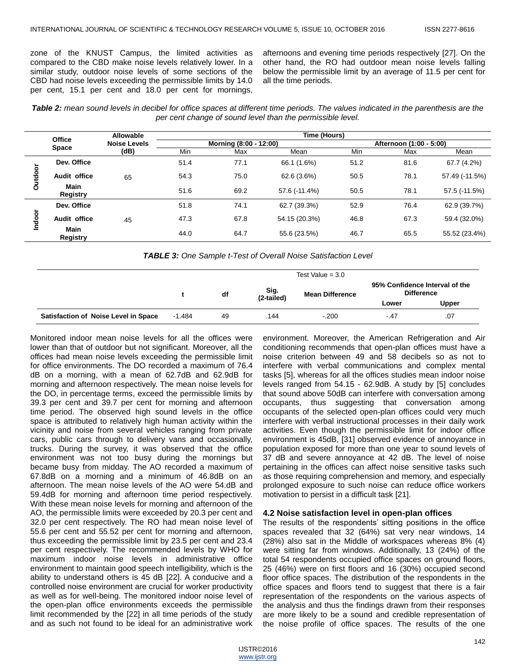zone of the KNUST Campus, the limited activities as compared to the CBD make noise levels relatively lower. In a similar study, outdoor noise levels of some sections of the CBD had noise levels exceeding the permissible limits by 14.0 per cent, 15.1 per cent and 18.0 per cent for mornings,

afternoons and evening time periods respectively [27]. On the other hand, the RO had outdoor mean noise levels falling below the permissible limit by an average of 11.5 per cent for all the time periods.

*Table 2: mean sound levels in decibel for office spaces at different time periods. The values indicated in the parenthesis are the per cent change of sound level than the permissible level.*

|         |                                | Allowable           | Time (Hours)           |      |               |                         |      |                |  |  |
|---------|--------------------------------|---------------------|------------------------|------|---------------|-------------------------|------|----------------|--|--|
|         | <b>Office</b><br><b>Space</b>  | <b>Noise Levels</b> | Morning (8:00 - 12:00) |      |               | Afternoon (1:00 - 5:00) |      |                |  |  |
|         |                                | (dB)                | Min                    | Max  | Mean          | Min                     | Max  | Mean           |  |  |
| Outdoor | Dev. Office                    |                     | 51.4                   | 77.1 | 66.1 (1.6%)   | 51.2                    | 81.6 | 67.7 (4.2%)    |  |  |
|         | Audit office                   | 65                  | 54.3                   | 75.0 | 62.6 (3.6%)   | 50.5                    | 78.1 | 57.49 (-11.5%) |  |  |
|         | <b>Main</b><br>Registry        |                     | 51.6                   | 69.2 | 57.6 (-11.4%) | 50.5                    | 78.1 | 57.5 (-11.5%)  |  |  |
| Indoor  | Dev. Office                    |                     | 51.8                   | 74.1 | 62.7 (39.3%)  | 52.9                    | 76.4 | 62.9 (39.7%)   |  |  |
|         | Audit office                   | 45                  | 47.3                   | 67.8 | 54.15 (20.3%) | 46.8                    | 67.3 | 59.4 (32.0%)   |  |  |
|         | <b>Main</b><br><b>Registry</b> |                     | 44.0                   | 64.7 | 55.6 (23.5%)  | 46.7                    | 65.5 | 55.52 (23.4%)  |  |  |

*TABLE 3: One Sample t-Test of Overall Noise Satisfaction Level*

|                                             | Test Value = $3.0$ |    |                    |                        |                                                     |       |  |
|---------------------------------------------|--------------------|----|--------------------|------------------------|-----------------------------------------------------|-------|--|
|                                             |                    | df | Sig.<br>(2-tailed) | <b>Mean Difference</b> | 95% Confidence Interval of the<br><b>Difference</b> |       |  |
|                                             |                    |    |                    |                        | Lower                                               | Upper |  |
| <b>Satisfaction of Noise Level in Space</b> | $-1.484$           | 49 | 144                | $-.200$                | -.47                                                | .07   |  |

Monitored indoor mean noise levels for all the offices were lower than that of outdoor but not significant. Moreover, all the offices had mean noise levels exceeding the permissible limit for office environments. The DO recorded a maximum of 76.4 dB on a morning, with a mean of 62.7dB and 62.9dB for morning and afternoon respectively. The mean noise levels for the DO, in percentage terms, exceed the permissible limits by 39.3 per cent and 39.7 per cent for morning and afternoon time period. The observed high sound levels in the office space is attributed to relatively high human activity within the vicinity and noise from several vehicles ranging from private cars, public cars through to delivery vans and occasionally, trucks. During the survey, it was observed that the office environment was not too busy during the mornings but became busy from midday. The AO recorded a maximum of 67.8dB on a morning and a minimum of 46.8dB on an afternoon. The mean noise levels of the AO were 54.dB and 59.4dB for morning and afternoon time period respectively. With these mean noise levels for morning and afternoon of the AO, the permissible limits were exceeded by 20.3 per cent and 32.0 per cent respectively. The RO had mean noise level of 55.6 per cent and 55.52 per cent for morning and afternoon, thus exceeding the permissible limit by 23.5 per cent and 23.4 per cent respectively. The recommended levels by WHO for maximum indoor noise levels in administrative office environment to maintain good speech intelligibility, which is the ability to understand others is 45 dB [22]. A conducive and a controlled noise environment are crucial for worker productivity as well as for well-being. The monitored indoor noise level of the open-plan office environments exceeds the permissible limit recommended by the [22] in all time periods of the study and as such not found to be ideal for an administrative work

environment. Moreover, the American Refrigeration and Air conditioning recommends that open-plan offices must have a noise criterion between 49 and 58 decibels so as not to interfere with verbal communications and complex mental tasks [5], whereas for all the offices studies mean indoor noise levels ranged from 54.15 - 62.9dB. A study by [5] concludes that sound above 50dB can interfere with conversation among occupants, thus suggesting that conversation among occupants of the selected open-plan offices could very much interfere with verbal instructional processes in their daily work activities. Even though the permissible limit for indoor office environment is 45dB, [31] observed evidence of annoyance in population exposed for more than one year to sound levels of 37 dB and severe annoyance at 42 dB. The level of noise pertaining in the offices can affect noise sensitive tasks such as those requiring comprehension and memory, and especially prolonged exposure to such noise can reduce office workers motivation to persist in a difficult task [21].

#### **4.2 Noise satisfaction level in open-plan offices**

The results of the respondents' sitting positions in the office spaces revealed that 32 (64%) sat very near windows, 14 (28%) also sat in the Middle of workspaces whereas 8% (4) were sitting far from windows. Additionally, 13 (24%) of the total 54 respondents occupied office spaces on ground floors, 25 (46%) were on first floors and 16 (30%) occupied second floor office spaces. The distribution of the respondents in the office spaces and floors tend to suggest that there is a fair representation of the respondents on the various aspects of the analysis and thus the findings drawn from their responses are more likely to be a sound and credible representation of the noise profile of office spaces. The results of the one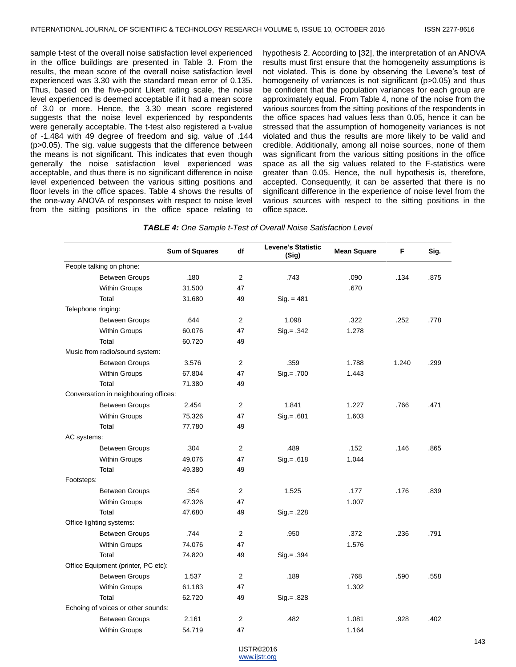sample t-test of the overall noise satisfaction level experienced in the office buildings are presented in Table 3. From the results, the mean score of the overall noise satisfaction level experienced was 3.30 with the standard mean error of 0.135. Thus, based on the five-point Likert rating scale, the noise level experienced is deemed acceptable if it had a mean score of 3.0 or more. Hence, the 3.30 mean score registered suggests that the noise level experienced by respondents were generally acceptable. The t-test also registered a t-value of -1.484 with 49 degree of freedom and sig. value of .144 (p>0.05). The sig. value suggests that the difference between the means is not significant. This indicates that even though generally the noise satisfaction level experienced was acceptable, and thus there is no significant difference in noise level experienced between the various sitting positions and floor levels in the office spaces. Table 4 shows the results of the one-way ANOVA of responses with respect to noise level from the sitting positions in the office space relating to

hypothesis 2. According to [32], the interpretation of an ANOVA results must first ensure that the homogeneity assumptions is not violated. This is done by observing the Levene's test of homogeneity of variances is not significant (p>0.05) and thus be confident that the population variances for each group are approximately equal. From Table 4, none of the noise from the various sources from the sitting positions of the respondents in the office spaces had values less than 0.05, hence it can be stressed that the assumption of homogeneity variances is not violated and thus the results are more likely to be valid and credible. Additionally, among all noise sources, none of them was significant from the various sitting positions in the office space as all the sig values related to the F-statistics were greater than 0.05. Hence, the null hypothesis is, therefore, accepted. Consequently, it can be asserted that there is no significant difference in the experience of noise level from the various sources with respect to the sitting positions in the office space.

#### *TABLE 4: One Sample t-Test of Overall Noise Satisfaction Level*

|             |                                       | <b>Sum of Squares</b> | df             | <b>Levene's Statistic</b><br>(Sig) | <b>Mean Square</b> | F     | Sig. |
|-------------|---------------------------------------|-----------------------|----------------|------------------------------------|--------------------|-------|------|
|             | People talking on phone:              |                       |                |                                    |                    |       |      |
|             | <b>Between Groups</b>                 | .180                  | $\overline{2}$ | .743                               | .090               | .134  | .875 |
|             | <b>Within Groups</b>                  | 31.500                | 47             |                                    | .670               |       |      |
|             | Total                                 | 31.680                | 49             | $Sig. = 481$                       |                    |       |      |
|             | Telephone ringing:                    |                       |                |                                    |                    |       |      |
|             | <b>Between Groups</b>                 | .644                  | $\overline{2}$ | 1.098                              | .322               | .252  | .778 |
|             | Within Groups                         | 60.076                | 47             | $Sig = .342$                       | 1.278              |       |      |
|             | Total                                 | 60.720                | 49             |                                    |                    |       |      |
|             | Music from radio/sound system:        |                       |                |                                    |                    |       |      |
|             | <b>Between Groups</b>                 | 3.576                 | $\overline{2}$ | .359                               | 1.788              | 1.240 | .299 |
|             | Within Groups                         | 67.804                | 47             | $Sig. = .700$                      | 1.443              |       |      |
|             | Total                                 | 71.380                | 49             |                                    |                    |       |      |
|             | Conversation in neighbouring offices: |                       |                |                                    |                    |       |      |
|             | <b>Between Groups</b>                 | 2.454                 | $\overline{2}$ | 1.841                              | 1.227              | .766  | .471 |
|             | <b>Within Groups</b>                  | 75.326                | 47             | $Siq = .681$                       | 1.603              |       |      |
|             | Total                                 | 77.780                | 49             |                                    |                    |       |      |
| AC systems: |                                       |                       |                |                                    |                    |       |      |
|             | <b>Between Groups</b>                 | .304                  | $\overline{2}$ | .489                               | .152               | .146  | .865 |
|             | Within Groups                         | 49.076                | 47             | $Sig = .618$                       | 1.044              |       |      |
|             | Total                                 | 49.380                | 49             |                                    |                    |       |      |
| Footsteps:  |                                       |                       |                |                                    |                    |       |      |
|             | <b>Between Groups</b>                 | .354                  | $\overline{2}$ | 1.525                              | .177               | .176  | .839 |
|             | Within Groups                         | 47.326                | 47             |                                    | 1.007              |       |      |
|             | Total                                 | 47.680                | 49             | $Sig = .228$                       |                    |       |      |
|             | Office lighting systems:              |                       |                |                                    |                    |       |      |
|             | <b>Between Groups</b>                 | .744                  | $\overline{2}$ | .950                               | .372               | .236  | .791 |
|             | Within Groups                         | 74.076                | 47             |                                    | 1.576              |       |      |
|             | Total                                 | 74.820                | 49             | $Sig = .394$                       |                    |       |      |
|             | Office Equipment (printer, PC etc):   |                       |                |                                    |                    |       |      |
|             | <b>Between Groups</b>                 | 1.537                 | 2              | .189                               | .768               | .590  | .558 |
|             | Within Groups                         | 61.183                | 47             |                                    | 1.302              |       |      |
|             | Total                                 | 62.720                | 49             | $Sig = .828$                       |                    |       |      |
|             | Echoing of voices or other sounds:    |                       |                |                                    |                    |       |      |
|             | <b>Between Groups</b>                 | 2.161                 | $\overline{2}$ | .482                               | 1.081              | .928  | .402 |
|             | Within Groups                         | 54.719                | 47             |                                    | 1.164              |       |      |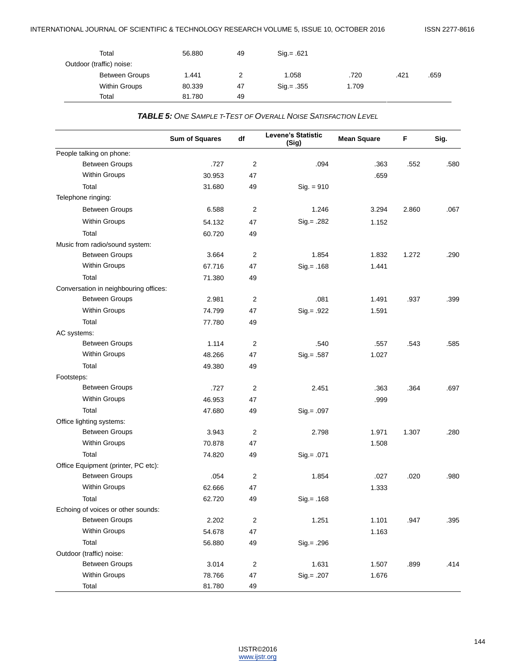| Total                    | 56.880 | 49 | $Siq = .621$ |       |      |      |
|--------------------------|--------|----|--------------|-------|------|------|
| Outdoor (traffic) noise: |        |    |              |       |      |      |
| <b>Between Groups</b>    | 1.441  | っ  | 1.058        | .720  | .421 | .659 |
| Within Groups            | 80.339 | 47 | $Sig = .355$ | 1.709 |      |      |
| Total                    | 81.780 | 49 |              |       |      |      |

*TABLE 5: ONE SAMPLE T-TEST OF OVERALL NOISE SATISFACTION LEVEL*

|                                       | <b>Sum of Squares</b> | df             | <b>Levene's Statistic</b><br>(Sig) | <b>Mean Square</b> | F     | Sig. |
|---------------------------------------|-----------------------|----------------|------------------------------------|--------------------|-------|------|
| People talking on phone:              |                       |                |                                    |                    |       |      |
| <b>Between Groups</b>                 | .727                  | 2              | .094                               | .363               | .552  | .580 |
| Within Groups                         | 30.953                | 47             |                                    | .659               |       |      |
| Total                                 | 31.680                | 49             | $Sig. = 910$                       |                    |       |      |
| Telephone ringing:                    |                       |                |                                    |                    |       |      |
| <b>Between Groups</b>                 | 6.588                 | $\overline{2}$ | 1.246                              | 3.294              | 2.860 | .067 |
| Within Groups                         | 54.132                | 47             | $Sig = .282$                       | 1.152              |       |      |
| Total                                 | 60.720                | 49             |                                    |                    |       |      |
| Music from radio/sound system:        |                       |                |                                    |                    |       |      |
| <b>Between Groups</b>                 | 3.664                 | $\overline{2}$ | 1.854                              | 1.832              | 1.272 | .290 |
| Within Groups                         | 67.716                | 47             | $Sig. = .168$                      | 1.441              |       |      |
| Total                                 | 71.380                | 49             |                                    |                    |       |      |
| Conversation in neighbouring offices: |                       |                |                                    |                    |       |      |
| <b>Between Groups</b>                 | 2.981                 | $\overline{2}$ | .081                               | 1.491              | .937  | .399 |
| Within Groups                         | 74.799                | 47             | $Sig = .922$                       | 1.591              |       |      |
| Total                                 | 77.780                | 49             |                                    |                    |       |      |
| AC systems:                           |                       |                |                                    |                    |       |      |
| <b>Between Groups</b>                 | 1.114                 | $\overline{2}$ | .540                               | .557               | .543  | .585 |
| Within Groups                         | 48.266                | 47             | $Sig = .587$                       | 1.027              |       |      |
| Total                                 | 49.380                | 49             |                                    |                    |       |      |
| Footsteps:                            |                       |                |                                    |                    |       |      |
| <b>Between Groups</b>                 | .727                  | 2              | 2.451                              | .363               | .364  | .697 |
| Within Groups                         | 46.953                | 47             |                                    | .999               |       |      |
| Total                                 | 47.680                | 49             | $Sig = .097$                       |                    |       |      |
| Office lighting systems:              |                       |                |                                    |                    |       |      |
| <b>Between Groups</b>                 | 3.943                 | $\overline{2}$ | 2.798                              | 1.971              | 1.307 | .280 |
| Within Groups                         | 70.878                | 47             |                                    | 1.508              |       |      |
| Total                                 | 74.820                | 49             | $Sig = .071$                       |                    |       |      |
| Office Equipment (printer, PC etc):   |                       |                |                                    |                    |       |      |
| <b>Between Groups</b>                 | .054                  | $\overline{2}$ | 1.854                              | .027               | .020  | .980 |
| Within Groups                         | 62.666                | 47             |                                    | 1.333              |       |      |
| Total                                 | 62.720                | 49             | $Sig = .168$                       |                    |       |      |
| Echoing of voices or other sounds:    |                       |                |                                    |                    |       |      |
| <b>Between Groups</b>                 | 2.202                 | $\overline{2}$ | 1.251                              | 1.101              | .947  | .395 |
| Within Groups                         | 54.678                | 47             |                                    | 1.163              |       |      |
| Total                                 | 56.880                | 49             | $Sig = .296$                       |                    |       |      |
| Outdoor (traffic) noise:              |                       |                |                                    |                    |       |      |
| <b>Between Groups</b>                 | 3.014                 | $\sqrt{2}$     | 1.631                              | 1.507              | .899  | .414 |
| Within Groups                         | 78.766                | 47             | Sig.= .207                         | 1.676              |       |      |
| Total                                 | 81.780                | 49             |                                    |                    |       |      |

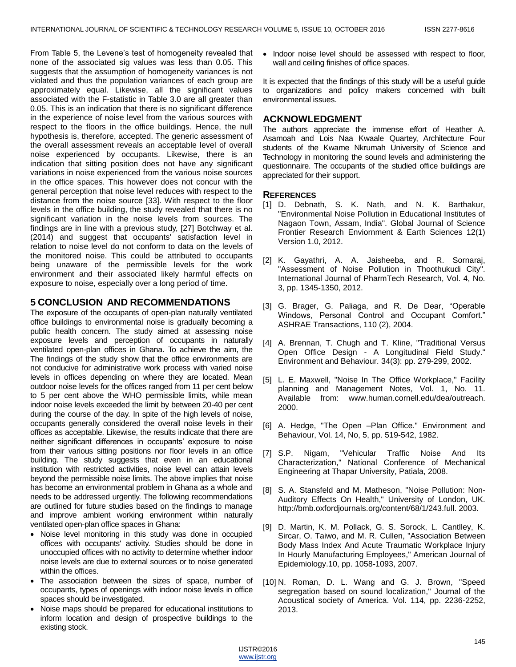From Table 5, the Levene's test of homogeneity revealed that none of the associated sig values was less than 0.05. This suggests that the assumption of homogeneity variances is not violated and thus the population variances of each group are approximately equal. Likewise, all the significant values associated with the F-statistic in Table 3.0 are all greater than 0.05. This is an indication that there is no significant difference in the experience of noise level from the various sources with respect to the floors in the office buildings. Hence, the null hypothesis is, therefore, accepted. The generic assessment of the overall assessment reveals an acceptable level of overall noise experienced by occupants. Likewise, there is an indication that sitting position does not have any significant variations in noise experienced from the various noise sources in the office spaces. This however does not concur with the general perception that noise level reduces with respect to the distance from the noise source [33]. With respect to the floor levels in the office building, the study revealed that there is no significant variation in the noise levels from sources. The findings are in line with a previous study, [27] Botchway et al. (2014) and suggest that occupants' satisfaction level in relation to noise level do not conform to data on the levels of the monitored noise. This could be attributed to occupants being unaware of the permissible levels for the work environment and their associated likely harmful effects on exposure to noise, especially over a long period of time.

# **5 CONCLUSION AND RECOMMENDATIONS**

The exposure of the occupants of open-plan naturally ventilated office buildings to environmental noise is gradually becoming a public health concern. The study aimed at assessing noise exposure levels and perception of occupants in naturally ventilated open-plan offices in Ghana. To achieve the aim, the The findings of the study show that the office environments are not conducive for administrative work process with varied noise levels in offices depending on where they are located. Mean outdoor noise levels for the offices ranged from 11 per cent below to 5 per cent above the WHO permissible limits, while mean indoor noise levels exceeded the limit by between 20-40 per cent during the course of the day. In spite of the high levels of noise, occupants generally considered the overall noise levels in their offices as acceptable. Likewise, the results indicate that there are neither significant differences in occupants' exposure to noise from their various sitting positions nor floor levels in an office building. The study suggests that even in an educational institution with restricted activities, noise level can attain levels beyond the permissible noise limits. The above implies that noise has become an environmental problem in Ghana as a whole and needs to be addressed urgently. The following recommendations are outlined for future studies based on the findings to manage and improve ambient working environment within naturally ventilated open-plan office spaces in Ghana:

- Noise level monitoring in this study was done in occupied offices with occupants' activity. Studies should be done in unoccupied offices with no activity to determine whether indoor noise levels are due to external sources or to noise generated within the offices.
- The association between the sizes of space, number of occupants, types of openings with indoor noise levels in office spaces should be investigated.
- Noise maps should be prepared for educational institutions to inform location and design of prospective buildings to the existing stock.

• Indoor noise level should be assessed with respect to floor. wall and ceiling finishes of office spaces.

It is expected that the findings of this study will be a useful guide to organizations and policy makers concerned with built environmental issues.

## **ACKNOWLEDGMENT**

The authors appreciate the immense effort of Heather A. Asamoah and Lois Naa Kwaale Quartey, Architecture Four students of the Kwame Nkrumah University of Science and Technology in monitoring the sound levels and administering the questionnaire. The occupants of the studied office buildings are appreciated for their support.

## **REFERENCES**

- [1] D. Debnath, S. K. Nath, and N. K. Barthakur, "Environmental Noise Pollution in Educational Institutes of Nagaon Town, Assam, India". Global Journal of Science Frontier Research Enviornment & Earth Sciences 12(1) Version 1.0, 2012.
- [2] K. Gayathri, A. A. Jaisheeba, and R. Sornaraj, "Assessment of Noise Pollution in Thoothukudi City". International Journal of PharmTech Research, Vol. 4, No. 3, pp. 1345-1350, 2012.
- [3] G. Brager, G. Paliaga, and R. De Dear, "Operable Windows, Personal Control and Occupant Comfort." ASHRAE Transactions, 110 (2), 2004.
- [4] A. Brennan, T. Chugh and T. Kline, "Traditional Versus Open Office Design - A Longitudinal Field Study." Environment and Behaviour. 34(3): pp. 279-299, 2002.
- [5] L. E. Maxwell, "Noise In The Office Workplace," Facility planning and Management Notes, Vol. 1, No. 11. Available from: www.human.cornell.edu/dea/outreach. 2000.
- [6] A. Hedge, "The Open –Plan Office." Environment and Behaviour, Vol. 14, No, 5, pp. 519-542, 1982.
- [7] S.P. Nigam, "Vehicular Traffic Noise And Its Characterization," National Conference of Mechanical Engineering at Thapar University, Patiala, 2008.
- [8] S. A. Stansfeld and M. Matheson, "Noise Pollution: Non-Auditory Effects On Health," University of London, UK. http://bmb.oxfordjournals.org/content/68/1/243.full. 2003.
- [9] D. Martin, K. M. Pollack, G. S. Sorock, L. Cantlley, K. Sircar, O. Taiwo, and M. R. Cullen, "Association Between Body Mass Index And Acute Traumatic Workplace Injury In Hourly Manufacturing Employees," American Journal of Epidemiology.10, pp. 1058-1093, 2007.
- [10] N. Roman, D. L. Wang and G. J. Brown, "Speed segregation based on sound localization," Journal of the Acoustical society of America. Vol. 114, pp. 2236-2252, 2013.